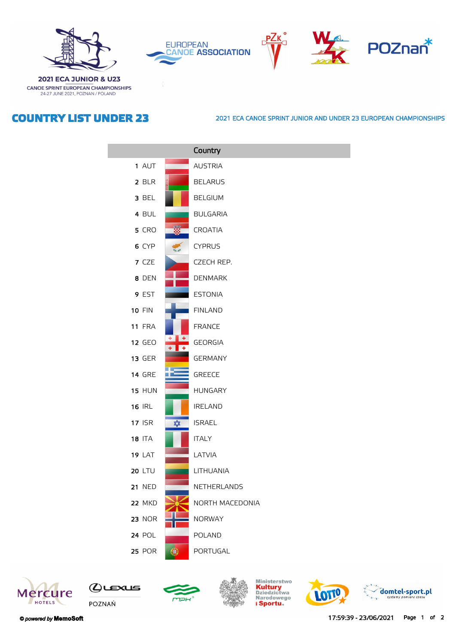

**2021 ECA JUNIOR & U23** CANOE SPRINT EUROPEAN CHAMPIONSHIPS 24-27 JUNE 2021, POZNAN / POLAND







## **COUNTRY LIST UNDER 23**

## **2021 ECA CANOE SPRINT JUNIOR AND UNDER 23 EUROPEAN CHAMPIONSHIPS**

|               |                      | Country         |
|---------------|----------------------|-----------------|
| 1 AUT         |                      | <b>AUSTRIA</b>  |
| 2 BLR         |                      | <b>BELARUS</b>  |
| 3 BEL         |                      | <b>BELGIUM</b>  |
| 4 BUL         |                      | <b>BULGARIA</b> |
| 5 CRO         |                      | <b>CROATIA</b>  |
| 6 CYP         |                      | <b>CYPRUS</b>   |
| 7 CZE         |                      | CZECH REP.      |
| 8 DEN         |                      | <b>DENMARK</b>  |
| 9 EST         |                      | <b>ESTONIA</b>  |
| <b>10 FIN</b> |                      | <b>FINLAND</b>  |
| 11 FRA        |                      | <b>FRANCE</b>   |
| <b>12 GEO</b> |                      | <b>GEORGIA</b>  |
| <b>13 GER</b> |                      | <b>GERMANY</b>  |
| <b>14 GRE</b> |                      | <b>GREECE</b>   |
| <b>15 HUN</b> |                      | <b>HUNGARY</b>  |
| <b>16 IRL</b> |                      | <b>IRELAND</b>  |
| <b>17 ISR</b> | $\frac{1}{\sqrt{2}}$ | <b>ISRAEL</b>   |
| <b>18 ITA</b> |                      | <b>ITALY</b>    |
| <b>19 LAT</b> |                      | LATVIA          |
| <b>20 LTU</b> |                      | LITHUANIA       |
| <b>21 NED</b> |                      | NETHERLANDS     |
| 22 MKD        |                      | NORTH MACEDONIA |
| <b>23 NOR</b> |                      | <b>NORWAY</b>   |
| <b>24 POL</b> |                      | <b>POLAND</b>   |
| <b>25 POR</b> | 0                    | PORTUGAL        |









Ministerstwo<br><mark>Kultury</mark><br>Dziedzictwa<br>Narodowego<br>**i Sportu**